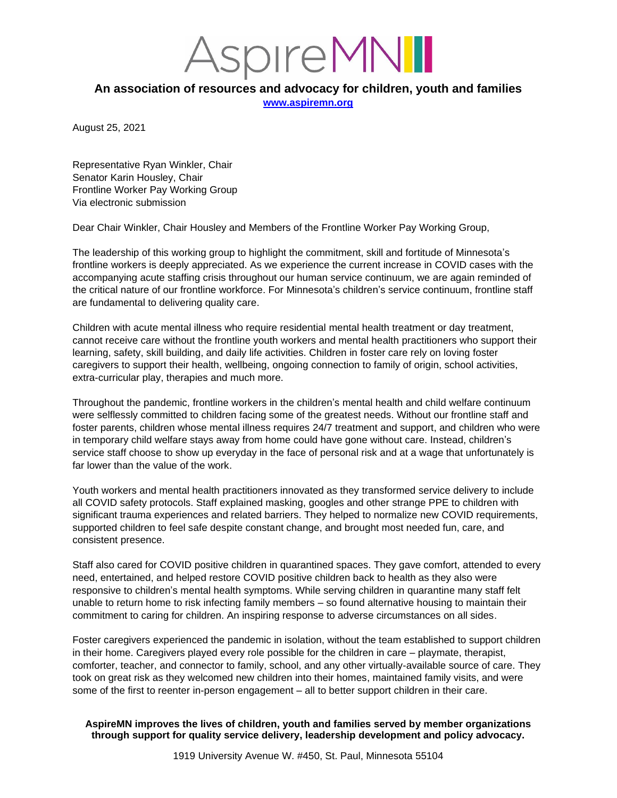*ISPITEMNI* 

## **An association of resources and advocacy for children, youth and families**

**[www.aspiremn.org](http://www.aspiremn.org/)**

August 25, 2021

Representative Ryan Winkler, Chair Senator Karin Housley, Chair Frontline Worker Pay Working Group Via electronic submission

Dear Chair Winkler, Chair Housley and Members of the Frontline Worker Pay Working Group,

The leadership of this working group to highlight the commitment, skill and fortitude of Minnesota's frontline workers is deeply appreciated. As we experience the current increase in COVID cases with the accompanying acute staffing crisis throughout our human service continuum, we are again reminded of the critical nature of our frontline workforce. For Minnesota's children's service continuum, frontline staff are fundamental to delivering quality care.

Children with acute mental illness who require residential mental health treatment or day treatment, cannot receive care without the frontline youth workers and mental health practitioners who support their learning, safety, skill building, and daily life activities. Children in foster care rely on loving foster caregivers to support their health, wellbeing, ongoing connection to family of origin, school activities, extra-curricular play, therapies and much more.

Throughout the pandemic, frontline workers in the children's mental health and child welfare continuum were selflessly committed to children facing some of the greatest needs. Without our frontline staff and foster parents, children whose mental illness requires 24/7 treatment and support, and children who were in temporary child welfare stays away from home could have gone without care. Instead, children's service staff choose to show up everyday in the face of personal risk and at a wage that unfortunately is far lower than the value of the work.

Youth workers and mental health practitioners innovated as they transformed service delivery to include all COVID safety protocols. Staff explained masking, googles and other strange PPE to children with significant trauma experiences and related barriers. They helped to normalize new COVID requirements, supported children to feel safe despite constant change, and brought most needed fun, care, and consistent presence.

Staff also cared for COVID positive children in quarantined spaces. They gave comfort, attended to every need, entertained, and helped restore COVID positive children back to health as they also were responsive to children's mental health symptoms. While serving children in quarantine many staff felt unable to return home to risk infecting family members – so found alternative housing to maintain their commitment to caring for children. An inspiring response to adverse circumstances on all sides.

Foster caregivers experienced the pandemic in isolation, without the team established to support children in their home. Caregivers played every role possible for the children in care – playmate, therapist, comforter, teacher, and connector to family, school, and any other virtually-available source of care. They took on great risk as they welcomed new children into their homes, maintained family visits, and were some of the first to reenter in-person engagement – all to better support children in their care.

## **AspireMN improves the lives of children, youth and families served by member organizations through support for quality service delivery, leadership development and policy advocacy.**